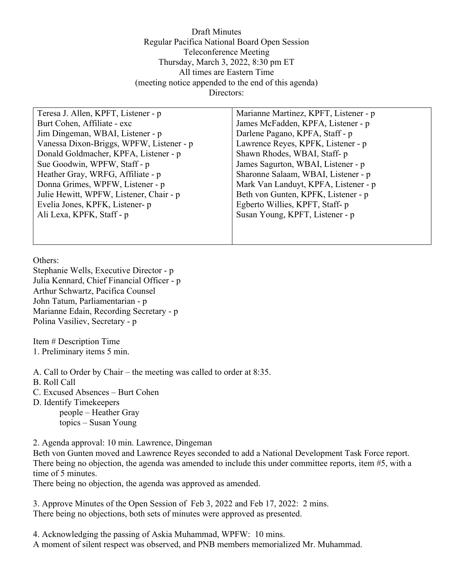Draft Minutes Regular Pacifica National Board Open Session Teleconference Meeting Thursday, March 3, 2022, 8:30 pm ET All times are Eastern Time (meeting notice appended to the end of this agenda) Directors:

Teresa J. Allen, KPFT, Listener - p Burt Cohen, Affiliate - exc Jim Dingeman, WBAI, Listener - p Vanessa Dixon-Briggs, WPFW, Listener - p Donald Goldmacher, KPFA, Listener - p Sue Goodwin, WPFW, Staff - p Heather Gray, WRFG, Affiliate - p Donna Grimes, WPFW, Listener - p Julie Hewitt, WPFW, Listener, Chair - p Evelia Jones, KPFK, Listener- p Ali Lexa, KPFK, Staff - p

Marianne Martinez, KPFT, Listener - p James McFadden, KPFA, Listener - p Darlene Pagano, KPFA, Staff - p Lawrence Reyes, KPFK, Listener - p Shawn Rhodes, WBAI, Staff- p James Sagurton, WBAI, Listener - p Sharonne Salaam, WBAI, Listener - p Mark Van Landuyt, KPFA, Listener - p Beth von Gunten, KPFK, Listener - p Egberto Willies, KPFT, Staff- p Susan Young, KPFT, Listener - p

Others:

Stephanie Wells, Executive Director - p Julia Kennard, Chief Financial Officer - p Arthur Schwartz, Pacifica Counsel John Tatum, Parliamentarian - p Marianne Edain, Recording Secretary - p Polina Vasiliev, Secretary - p

Item # Description Time 1. Preliminary items 5 min.

A. Call to Order by Chair – the meeting was called to order at 8:35.

- B. Roll Call
- C. Excused Absences Burt Cohen
- D. Identify Timekeepers

 people – Heather Gray topics – Susan Young

2. Agenda approval: 10 min. Lawrence, Dingeman

Beth von Gunten moved and Lawrence Reyes seconded to add a National Development Task Force report. There being no objection, the agenda was amended to include this under committee reports, item #5, with a time of 5 minutes.

There being no objection, the agenda was approved as amended.

3. Approve Minutes of the Open Session of Feb 3, 2022 and Feb 17, 2022: 2 mins. There being no objections, both sets of minutes were approved as presented.

4. Acknowledging the passing of Askia Muhammad, WPFW: 10 mins.

A moment of silent respect was observed, and PNB members memorialized Mr. Muhammad.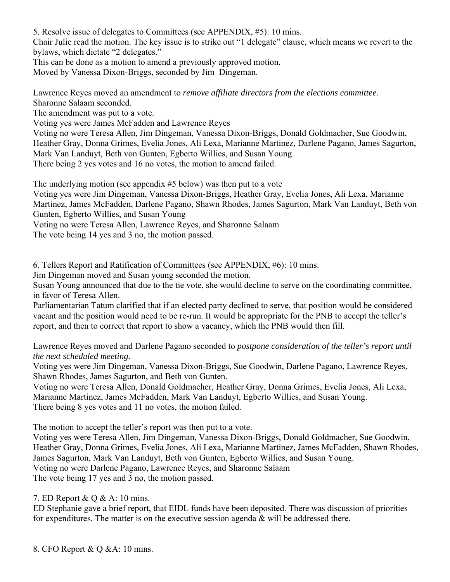5. Resolve issue of delegates to Committees (see APPENDIX, #5): 10 mins.

Chair Julie read the motion. The key issue is to strike out "1 delegate" clause, which means we revert to the bylaws, which dictate "2 delegates."

This can be done as a motion to amend a previously approved motion.

Moved by Vanessa Dixon-Briggs, seconded by Jim Dingeman.

Lawrence Reyes moved an amendment to *remove affiliate directors from the elections committee.* Sharonne Salaam seconded.

The amendment was put to a vote.

Voting yes were James McFadden and Lawrence Reyes

Voting no were Teresa Allen, Jim Dingeman, Vanessa Dixon-Briggs, Donald Goldmacher, Sue Goodwin, Heather Gray, Donna Grimes, Evelia Jones, Ali Lexa, Marianne Martinez, Darlene Pagano, James Sagurton, Mark Van Landuyt, Beth von Gunten, Egberto Willies, and Susan Young. There being 2 yes votes and 16 no votes, the motion to amend failed.

The underlying motion (see appendix #5 below) was then put to a vote

Voting yes were Jim Dingeman, Vanessa Dixon-Briggs, Heather Gray, Evelia Jones, Ali Lexa, Marianne Martinez, James McFadden, Darlene Pagano, Shawn Rhodes, James Sagurton, Mark Van Landuyt, Beth von Gunten, Egberto Willies, and Susan Young

Voting no were Teresa Allen, Lawrence Reyes, and Sharonne Salaam

The vote being 14 yes and 3 no, the motion passed.

6. Tellers Report and Ratification of Committees (see APPENDIX, #6): 10 mins.

Jim Dingeman moved and Susan young seconded the motion.

Susan Young announced that due to the tie vote, she would decline to serve on the coordinating committee, in favor of Teresa Allen.

Parliamentarian Tatum clarified that if an elected party declined to serve, that position would be considered vacant and the position would need to be re-run. It would be appropriate for the PNB to accept the teller's report, and then to correct that report to show a vacancy, which the PNB would then fill.

Lawrence Reyes moved and Darlene Pagano seconded to *postpone consideration of the teller's report until the next scheduled meeting.* 

Voting yes were Jim Dingeman, Vanessa Dixon-Briggs, Sue Goodwin, Darlene Pagano, Lawrence Reyes, Shawn Rhodes, James Sagurton, and Beth von Gunten.

Voting no were Teresa Allen, Donald Goldmacher, Heather Gray, Donna Grimes, Evelia Jones, Ali Lexa, Marianne Martinez, James McFadden, Mark Van Landuyt, Egberto Willies, and Susan Young. There being 8 yes votes and 11 no votes, the motion failed.

The motion to accept the teller's report was then put to a vote.

Voting yes were Teresa Allen, Jim Dingeman, Vanessa Dixon-Briggs, Donald Goldmacher, Sue Goodwin, Heather Gray, Donna Grimes, Evelia Jones, Ali Lexa, Marianne Martinez, James McFadden, Shawn Rhodes, James Sagurton, Mark Van Landuyt, Beth von Gunten, Egberto Willies, and Susan Young. Voting no were Darlene Pagano, Lawrence Reyes, and Sharonne Salaam The vote being 17 yes and 3 no, the motion passed.

7. ED Report & Q & A: 10 mins.

ED Stephanie gave a brief report, that EIDL funds have been deposited. There was discussion of priorities for expenditures. The matter is on the executive session agenda & will be addressed there.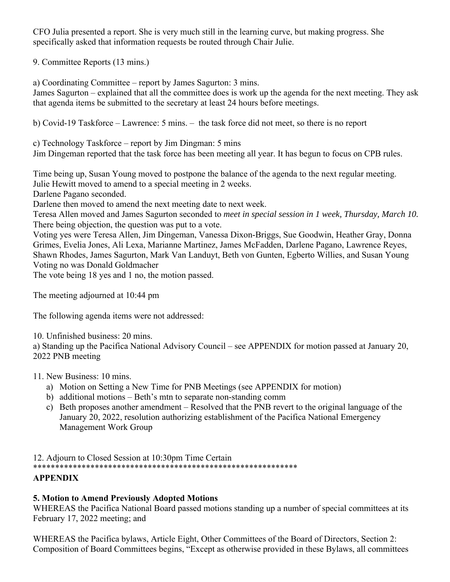CFO Julia presented a report. She is very much still in the learning curve, but making progress. She specifically asked that information requests be routed through Chair Julie.

9. Committee Reports (13 mins.)

a) Coordinating Committee – report by James Sagurton: 3 mins.

James Sagurton – explained that all the committee does is work up the agenda for the next meeting. They ask that agenda items be submitted to the secretary at least 24 hours before meetings.

b) Covid-19 Taskforce – Lawrence: 5 mins. – the task force did not meet, so there is no report

c) Technology Taskforce – report by Jim Dingman: 5 mins

Jim Dingeman reported that the task force has been meeting all year. It has begun to focus on CPB rules.

Time being up, Susan Young moved to postpone the balance of the agenda to the next regular meeting. Julie Hewitt moved to amend to a special meeting in 2 weeks.

Darlene Pagano seconded.

Darlene then moved to amend the next meeting date to next week.

Teresa Allen moved and James Sagurton seconded to *meet in special session in 1 week, Thursday, March 10.*  There being objection, the question was put to a vote.

Voting yes were Teresa Allen, Jim Dingeman, Vanessa Dixon-Briggs, Sue Goodwin, Heather Gray, Donna Grimes, Evelia Jones, Ali Lexa, Marianne Martinez, James McFadden, Darlene Pagano, Lawrence Reyes, Shawn Rhodes, James Sagurton, Mark Van Landuyt, Beth von Gunten, Egberto Willies, and Susan Young Voting no was Donald Goldmacher

The vote being 18 yes and 1 no, the motion passed.

The meeting adjourned at 10:44 pm

The following agenda items were not addressed:

10. Unfinished business: 20 mins.

a) Standing up the Pacifica National Advisory Council – see APPENDIX for motion passed at January 20, 2022 PNB meeting

### 11. New Business: 10 mins.

- a) Motion on Setting a New Time for PNB Meetings (see APPENDIX for motion)
- b) additional motions Beth's mtn to separate non-standing comm
- c) Beth proposes another amendment Resolved that the PNB revert to the original language of the January 20, 2022, resolution authorizing establishment of the Pacifica National Emergency Management Work Group

#### 12. Adjourn to Closed Session at 10:30pm Time Certain \*\*\*\*\*\*\*\*\*\*\*\*\*\*\*\*\*\*\*\*\*\*\*\*\*\*\*\*\*\*\*\*\*\*\*\*\*\*\*\*\*\*\*\*\*\*\*\*\*\*\*\*\*\*\*\*\*\*\*\* **APPENDIX**

### **5. Motion to Amend Previously Adopted Motions**

WHEREAS the Pacifica National Board passed motions standing up a number of special committees at its February 17, 2022 meeting; and

WHEREAS the Pacifica bylaws, Article Eight, Other Committees of the Board of Directors, Section 2: Composition of Board Committees begins, "Except as otherwise provided in these Bylaws, all committees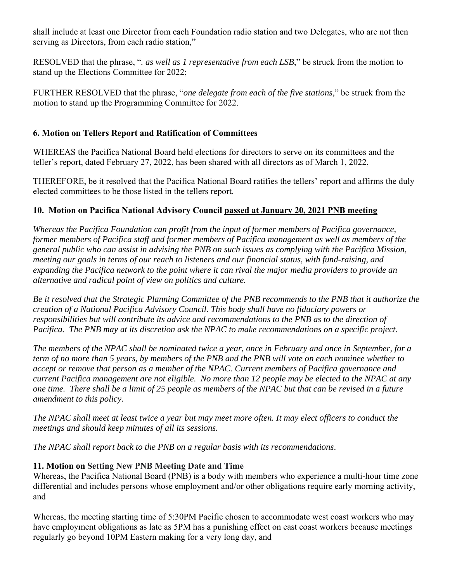shall include at least one Director from each Foundation radio station and two Delegates, who are not then serving as Directors, from each radio station,"

RESOLVED that the phrase, "*. as well as 1 representative from each LSB*," be struck from the motion to stand up the Elections Committee for 2022;

FURTHER RESOLVED that the phrase, "*one delegate from each of the five stations*," be struck from the motion to stand up the Programming Committee for 2022.

# **6. Motion on Tellers Report and Ratification of Committees**

WHEREAS the Pacifica National Board held elections for directors to serve on its committees and the teller's report, dated February 27, 2022, has been shared with all directors as of March 1, 2022,

THEREFORE, be it resolved that the Pacifica National Board ratifies the tellers' report and affirms the duly elected committees to be those listed in the tellers report.

# **10. Motion on Pacifica National Advisory Council passed at January 20, 2021 PNB meeting**

*Whereas the Pacifica Foundation can profit from the input of former members of Pacifica governance, former members of Pacifica staff and former members of Pacifica management as well as members of the general public who can assist in advising the PNB on such issues as complying with the Pacifica Mission, meeting our goals in terms of our reach to listeners and our financial status, with fund-raising, and expanding the Pacifica network to the point where it can rival the major media providers to provide an alternative and radical point of view on politics and culture.* 

*Be it resolved that the Strategic Planning Committee of the PNB recommends to the PNB that it authorize the creation of a National Pacifica Advisory Council. This body shall have no fiduciary powers or responsibilities but will contribute its advice and recommendations to the PNB as to the direction of Pacifica. The PNB may at its discretion ask the NPAC to make recommendations on a specific project.* 

*The members of the NPAC shall be nominated twice a year, once in February and once in September, for a term of no more than 5 years, by members of the PNB and the PNB will vote on each nominee whether to accept or remove that person as a member of the NPAC. Current members of Pacifica governance and current Pacifica management are not eligible. No more than 12 people may be elected to the NPAC at any one time. There shall be a limit of 25 people as members of the NPAC but that can be revised in a future amendment to this policy.* 

*The NPAC shall meet at least twice a year but may meet more often. It may elect officers to conduct the meetings and should keep minutes of all its sessions.* 

*The NPAC shall report back to the PNB on a regular basis with its recommendations*.

### **11. Motion on Setting New PNB Meeting Date and Time**

Whereas, the Pacifica National Board (PNB) is a body with members who experience a multi-hour time zone differential and includes persons whose employment and/or other obligations require early morning activity, and

Whereas, the meeting starting time of 5:30PM Pacific chosen to accommodate west coast workers who may have employment obligations as late as 5PM has a punishing effect on east coast workers because meetings regularly go beyond 10PM Eastern making for a very long day, and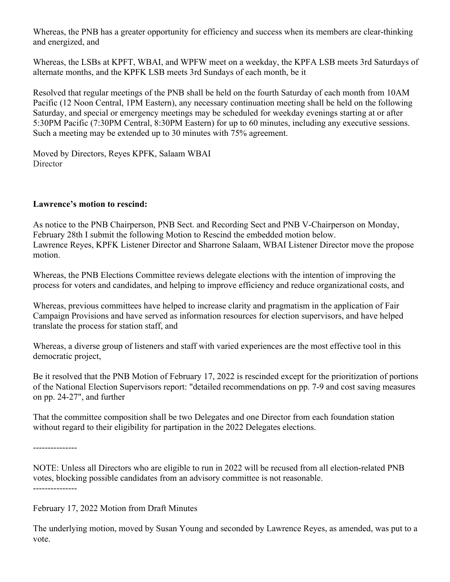Whereas, the PNB has a greater opportunity for efficiency and success when its members are clear-thinking and energized, and

Whereas, the LSBs at KPFT, WBAI, and WPFW meet on a weekday, the KPFA LSB meets 3rd Saturdays of alternate months, and the KPFK LSB meets 3rd Sundays of each month, be it

Resolved that regular meetings of the PNB shall be held on the fourth Saturday of each month from 10AM Pacific (12 Noon Central, 1PM Eastern), any necessary continuation meeting shall be held on the following Saturday, and special or emergency meetings may be scheduled for weekday evenings starting at or after 5:30PM Pacific (7:30PM Central, 8:30PM Eastern) for up to 60 minutes, including any executive sessions. Such a meeting may be extended up to 30 minutes with 75% agreement.

Moved by Directors, Reyes KPFK, Salaam WBAI **Director** 

### **Lawrence's motion to rescind:**

As notice to the PNB Chairperson, PNB Sect. and Recording Sect and PNB V-Chairperson on Monday, February 28th I submit the following Motion to Rescind the embedded motion below. Lawrence Reyes, KPFK Listener Director and Sharrone Salaam, WBAI Listener Director move the propose motion.

Whereas, the PNB Elections Committee reviews delegate elections with the intention of improving the process for voters and candidates, and helping to improve efficiency and reduce organizational costs, and

Whereas, previous committees have helped to increase clarity and pragmatism in the application of Fair Campaign Provisions and have served as information resources for election supervisors, and have helped translate the process for station staff, and

Whereas, a diverse group of listeners and staff with varied experiences are the most effective tool in this democratic project,

Be it resolved that the PNB Motion of February 17, 2022 is rescinded except for the prioritization of portions of the National Election Supervisors report: "detailed recommendations on pp. 7-9 and cost saving measures on pp. 24-27", and further

That the committee composition shall be two Delegates and one Director from each foundation station without regard to their eligibility for partipation in the 2022 Delegates elections.

---------------

NOTE: Unless all Directors who are eligible to run in 2022 will be recused from all election-related PNB votes, blocking possible candidates from an advisory committee is not reasonable. ---------------

February 17, 2022 Motion from Draft Minutes

The underlying motion, moved by Susan Young and seconded by Lawrence Reyes, as amended, was put to a vote.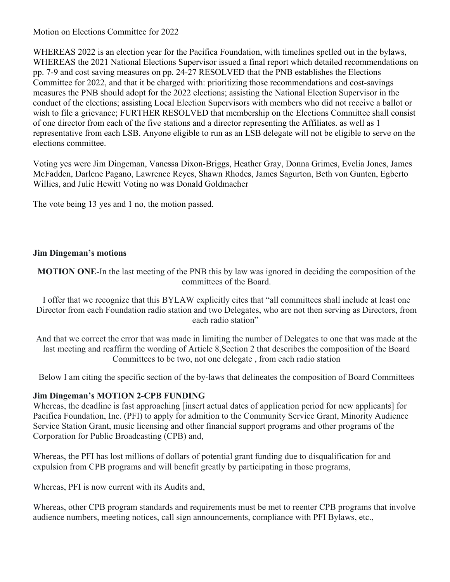Motion on Elections Committee for 2022

WHEREAS 2022 is an election year for the Pacifica Foundation, with timelines spelled out in the bylaws, WHEREAS the 2021 National Elections Supervisor issued a final report which detailed recommendations on pp. 7-9 and cost saving measures on pp. 24-27 RESOLVED that the PNB establishes the Elections Committee for 2022, and that it be charged with: prioritizing those recommendations and cost-savings measures the PNB should adopt for the 2022 elections; assisting the National Election Supervisor in the conduct of the elections; assisting Local Election Supervisors with members who did not receive a ballot or wish to file a grievance; FURTHER RESOLVED that membership on the Elections Committee shall consist of one director from each of the five stations and a director representing the Affiliates. as well as 1 representative from each LSB. Anyone eligible to run as an LSB delegate will not be eligible to serve on the elections committee.

Voting yes were Jim Dingeman, Vanessa Dixon-Briggs, Heather Gray, Donna Grimes, Evelia Jones, James McFadden, Darlene Pagano, Lawrence Reyes, Shawn Rhodes, James Sagurton, Beth von Gunten, Egberto Willies, and Julie Hewitt Voting no was Donald Goldmacher

The vote being 13 yes and 1 no, the motion passed.

### **Jim Dingeman's motions**

**MOTION ONE**-In the last meeting of the PNB this by law was ignored in deciding the composition of the committees of the Board.

I offer that we recognize that this BYLAW explicitly cites that "all committees shall include at least one Director from each Foundation radio station and two Delegates, who are not then serving as Directors, from each radio station"

And that we correct the error that was made in limiting the number of Delegates to one that was made at the last meeting and reaffirm the wording of Article 8,Section 2 that describes the composition of the Board Committees to be two, not one delegate , from each radio station

Below I am citing the specific section of the by-laws that delineates the composition of Board Committees

### **Jim Dingeman's MOTION 2-CPB FUNDING**

Whereas, the deadline is fast approaching [insert actual dates of application period for new applicants] for Pacifica Foundation, Inc. (PFI) to apply for admition to the Community Service Grant, Minority Audience Service Station Grant, music licensing and other financial support programs and other programs of the Corporation for Public Broadcasting (CPB) and,

Whereas, the PFI has lost millions of dollars of potential grant funding due to disqualification for and expulsion from CPB programs and will benefit greatly by participating in those programs,

Whereas, PFI is now current with its Audits and,

Whereas, other CPB program standards and requirements must be met to reenter CPB programs that involve audience numbers, meeting notices, call sign announcements, compliance with PFI Bylaws, etc.,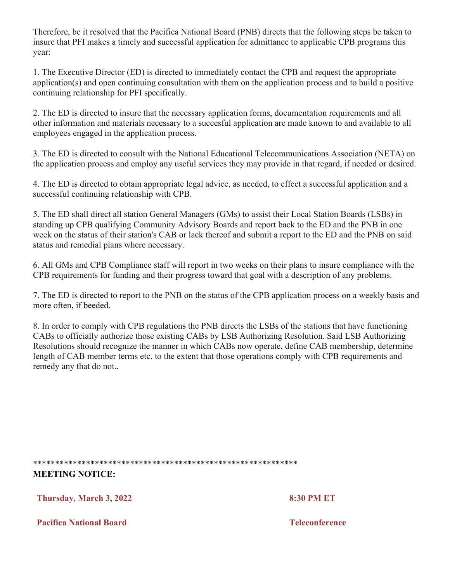Therefore, be it resolved that the Pacifica National Board (PNB) directs that the following steps be taken to insure that PFI makes a timely and successful application for admittance to applicable CPB programs this year:

1. The Executive Director (ED) is directed to immediately contact the CPB and request the appropriate application(s) and open continuing consultation with them on the application process and to build a positive continuing relationship for PFI specifically.

2. The ED is directed to insure that the necessary application forms, documentation requirements and all other information and materials necessary to a succesful application are made known to and available to all employees engaged in the application process.

3. The ED is directed to consult with the National Educational Telecommunications Association (NETA) on the application process and employ any useful services they may provide in that regard, if needed or desired.

4. The ED is directed to obtain appropriate legal advice, as needed, to effect a successful application and a successful continuing relationship with CPB.

5. The ED shall direct all station General Managers (GMs) to assist their Local Station Boards (LSBs) in standing up CPB qualifying Community Advisory Boards and report back to the ED and the PNB in one week on the status of their station's CAB or lack thereof and submit a report to the ED and the PNB on said status and remedial plans where necessary.

6. All GMs and CPB Compliance staff will report in two weeks on their plans to insure compliance with the CPB requirements for funding and their progress toward that goal with a description of any problems.

7. The ED is directed to report to the PNB on the status of the CPB application process on a weekly basis and more often, if beeded.

8. In order to comply with CPB regulations the PNB directs the LSBs of the stations that have functioning CABs to officially authorize those existing CABs by LSB Authorizing Resolution. Said LSB Authorizing Resolutions should recognize the manner in which CABs now operate, define CAB membership, determine length of CAB member terms etc. to the extent that those operations comply with CPB requirements and remedy any that do not..

\*\*\*\*\*\*\*\*\*\*\*\*\*\*\*\*\*\*\*\*\*\*\*\*\*\*\*\*\*\*\*\*\*\*\*\*\*\*\*\*\*\*\*\*\*\*\*\*\*\*\*\*\*\*\*\*\*\*\*\*

**MEETING NOTICE:** 

**Thursday, March 3, 2022 8:30 PM ET**

**Pacifica National Board Teleconference**